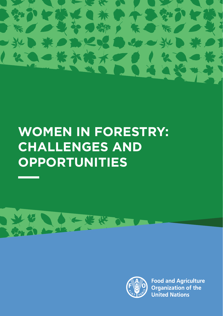

# **WOMEN IN FORESTRY: CHALLENGES AND OPPORTUNITIES**



**Food and Agriculture Organization of the United Nations**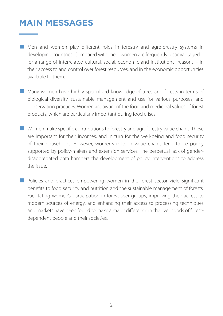# **MAIN MESSAGES**

- Men and women play different roles in forestry and agroforestry systems in developing countries. Compared with men, women are frequently disadvantaged – for a range of interrelated cultural, social, economic and institutional reasons – in their access to and control over forest resources, and in the economic opportunities available to them.
- Many women have highly specialized knowledge of trees and forests in terms of biological diversity, sustainable management and use for various purposes, and conservation practices. Women are aware of the food and medicinal values of forest products, which are particularly important during food crises.
- Women make specific contributions to forestry and agroforestry value chains. These are important for their incomes, and in turn for the well-being and food security of their households. However, women's roles in value chains tend to be poorly supported by policy-makers and extension services. The perpetual lack of genderdisaggregated data hampers the development of policy interventions to address the issue.
- Policies and practices empowering women in the forest sector yield significant benefits to food security and nutrition and the sustainable management of forests. Facilitating women's participation in forest user groups, improving their access to modern sources of energy, and enhancing their access to processing techniques and markets have been found to make a major difference in the livelihoods of forestdependent people and their societies.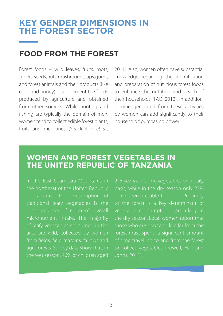### **Key gender dimensions in the forest sector**

# **Food from the forest**

Forest foods – wild leaves, fruits, roots, tubers, seeds, nuts, mushrooms, saps, gums, and forest animals and their products (like eggs and honey) – supplement the foods produced by agriculture and obtained from other sources. While hunting and fishing are typically the domain of men, women tend to collect edible forest plants, fruits and medicines (Shackleton *et al*.,

2011). Also, women often have substantial knowledge regarding the identification and preparation of nutritious forest foods to enhance the nutrition and health of their households (FAO, 2012). In addition, income generated from these activities by women can add significantly to their households' purchasing power.

### **Women and forest vegetables in the United Republic of Tanzania**

traditional leafy vegetables is the best predictor of children's overall micronutrient intake. The majority of leafy vegetables consumed in the area are wild, collected by women agroforests. Survey data show that, in basis, while in the dry season only 22% to the forest is a key determinant of the dry season. Local women report that those who are poor and live far from the forest must spend a significant amount to collect vegetables (Powell, Hall and Johns, 2011).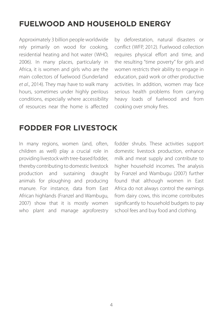# **Fuelwood and household energy**

Approximately 3 billion people worldwide rely primarily on wood for cooking, residential heating and hot water (WHO, 2006). In many places, particularly in Africa, it is women and girls who are the main collectors of fuelwood (Sunderland *et al*., 2014). They may have to walk many hours, sometimes under highly perilous conditions, especially where accessibility of resources near the home is affected

by deforestation, natural disasters or conflict (WFP, 2012). Fuelwood collection requires physical effort and time, and the resulting "time poverty" for girls and women restricts their ability to engage in education, paid work or other productive activities. In addition, women may face serious health problems from carrying heavy loads of fuelwood and from cooking over smoky fires.

### **Fodder for livestock**

In many regions, women (and, often, children as well) play a crucial role in providing livestock with tree-based fodder, thereby contributing to domestic livestock production and sustaining draught animals for ploughing and producing manure. For instance, data from East African highlands (Franzel and Wambugu, 2007) show that it is mostly women who plant and manage agroforestry fodder shrubs. These activities support domestic livestock production, enhance milk and meat supply and contribute to higher household incomes. The analysis by Franzel and Wambugu (2007) further found that although women in East Africa do not always control the earnings from dairy cows, this income contributes significantly to household budgets to pay school fees and buy food and clothing.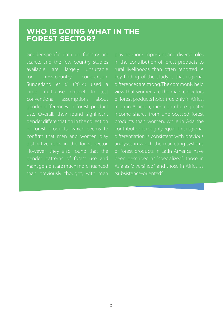### **Who is doing what in the forest sector?**

Gender-specific data on forestry are scarce, and the few country studies available are largely unsuitable for cross-country comparison. Sunderland *et al*. (2014) used a large multi-case dataset to test conventional assumptions about gender differences in forest product use. Overall, they found significant gender differentiation in the collection of forest products, which seems to confirm that men and women play distinctive roles in the forest sector. However, they also found that the gender patterns of forest use and management are much more nuanced than previously thought, with men

playing more important and diverse roles in the contribution of forest products to rural livelihoods than often reported. A differences are strong. The commonly held view that women are the main collectors of forest products holds true only in Africa. In Latin America, men contribute greater income shares from unprocessed forest products than women, while in Asia the contribution is roughly equal. This regional differentiation is consistent with previous of forest products in Latin America have been described as "specialized", those in Asia as "diversified", and those in Africa as "subsistence-oriented".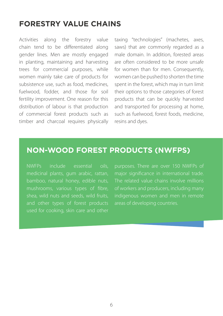### **Forestry value chains**

Activities along the forestry value chain tend to be differentiated along gender lines. Men are mostly engaged in planting, maintaining and harvesting trees for commercial purposes, while women mainly take care of products for subsistence use, such as food, medicines, fuelwood, fodder, and those for soil fertility improvement. One reason for this distribution of labour is that production of commercial forest products such as timber and charcoal requires physically

taxing "technologies" (machetes, axes, saws) that are commonly regarded as a male domain. In addition, forested areas are often considered to be more unsafe for women than for men. Consequently, women can be pushed to shorten the time spent in the forest, which may in turn limit their options to those categories of forest products that can be quickly harvested and transported for processing at home, such as fuelwood, forest foods, medicine, resins and dyes.

### **Non-wood forest products (NWFPs)**

NWFPs include essential oils, medicinal plants, gum arabic, rattan, bamboo, natural honey, edible nuts, mushrooms, various types of fibre, shea, wild nuts and seeds, wild fruits, and other types of forest products used for cooking, skin care and other

purposes. There are over 150 NWFPs of major significance in international trade. The related value chains involve millions of workers and producers, including many indigenous women and men in remote areas of developing countries.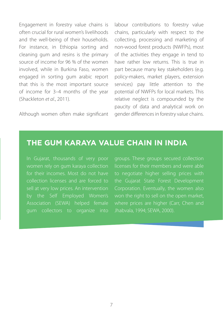Engagement in forestry value chains is often crucial for rural women's livelihoods and the well-being of their households. For instance, in Ethiopia sorting and cleaning gum and resins is the primary source of income for 96 % of the women involved, while in Burkina Faso, women engaged in sorting gum arabic report that this is the most important source of income for 3–4 months of the year (Shackleton *et al*., 2011).

Although women often make significant

labour contributions to forestry value chains, particularly with respect to the collecting, processing and marketing of non-wood forest products (NWFPs), most of the activities they engage in tend to have rather low returns. This is true in part because many key stakeholders (e.g. policy-makers, market players, extension services) pay little attention to the potential of NWFPs for local markets. This relative neglect is compounded by the paucity of data and analytical work on gender differences in forestry value chains.

### **The gum karaya value chain in India**

In Gujarat, thousands of very poor for their incomes. Most do not have collection licenses and are forced to sell at very low prices. An intervention Association (SEWA) helped female gum collectors to organize into groups. These groups secured collection licenses for their members and were able to negotiate higher selling prices with the Gujarat State Forest Development Corporation. Eventually, the women also won the right to sell on the open market, where prices are higher (Carr, Chen and Jhabvala, 1994; SEWA, 2000).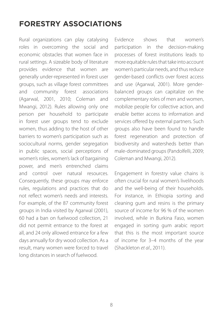# **Forestry associations**

Rural organizations can play catalysing roles in overcoming the social and economic obstacles that women face in rural settings. A sizeable body of literature provides evidence that women are generally under-represented in forest user groups, such as village forest committees and community forest associations (Agarwal, 2001, 2010; Coleman and Mwangi, 2012). Rules allowing only one person per household to participate in forest user groups tend to exclude women, thus adding to the host of other barriers to women's participation such as sociocultural norms, gender segregation in public spaces, social perceptions of women's roles, women's lack of bargaining power, and men's entrenched claims and control over natural resources. Consequently, these groups may enforce rules, regulations and practices that do not reflect women's needs and interests. For example, of the 87 community forest groups in India visited by Agarwal (2001), 60 had a ban on fuelwood collection, 21 did not permit entrance to the forest at all, and 24 only allowed entrance for a few days annually for dry wood collection. As a result, many women were forced to travel long distances in search of fuelwood.

Evidence shows that women's participation in the decision-making processes of forest institutions leads to more equitable rules that take into account women's particular needs, and thus reduce gender-based conflicts over forest access and use (Agarwal, 2001). More genderbalanced groups can capitalize on the complementary roles of men and women, mobilize people for collective action, and enable better access to information and services offered by external partners. Such groups also have been found to handle forest regeneration and protection of biodiversity and watersheds better than male-dominated groups (Pandolfelli, 2009; Coleman and Mwangi, 2012).

Engagement in forestry value chains is often crucial for rural women's livelihoods and the well-being of their households. For instance, in Ethiopia sorting and cleaning gum and resins is the primary source of income for 96 % of the women involved, while in Burkina Faso, women engaged in sorting gum arabic report that this is the most important source of income for 3–4 months of the year (Shackleton *et al*., 2011).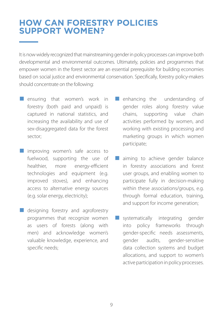### **How can forestry policies support women?**

It is now widely recognized that mainstreaming gender in policy processes can improve both developmental and environmental outcomes. Ultimately, policies and programmes that empower women in the forest sector are an essential prerequisite for building economies based on social justice and environmental conservation. Specifically, forestry policy-makers should concentrate on the following:

- **E** ensuring that women's work in forestry (both paid and unpaid) is captured in national statistics, and increasing the availability and use of sex-disaggregated data for the forest sector;
- improving women's safe access to fuelwood, supporting the use of healthier, more energy-efficient technologies and equipment (e.g. improved stoves), and enhancing access to alternative energy sources (e.g. solar energy, electricity);
- designing forestry and agroforestry programmes that recognize women as users of forests (along with men) and acknowledge women's valuable knowledge, experience, and specific needs;
- enhancing the understanding of gender roles along forestry value chains, supporting value chain activities performed by women, and working with existing processing and marketing groups in which women participate;
- aiming to achieve gender balance in forestry associations and forest user groups, and enabling women to participate fully in decision-making within these associations/groups, e.g. through formal education, training, and support for income generation;
- systematically integrating gender into policy frameworks through gender-specific needs assessments, gender audits, gender-sensitive data collection systems and budget allocations, and support to women's active participation in policy processes.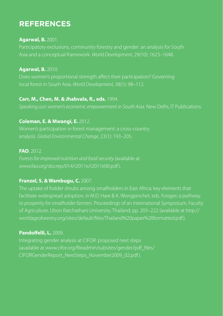## **References**

#### **Agarwal, B.** 2001.

Asia and a conceptual framework. *World Development*, 29(10): 1623–1648.

#### **Agarwal, B.** 2010.

Does women's proportional strength affect their participation? Governing local forest in South Asia. *World Development*, 38(1): 98–112.

#### **Carr, M., Chen, M. & Jhabvala, R., eds.** 1994.

*Speaking out: women's economic empowerment in South Asia*. New Delhi, IT Publications.

#### **Coleman, E. & Mwangi, E.** 2012.

Women's participation in forest management: a cross-country

#### **FAO**. 2012.

*Forests for improved nutrition and food security* (available at www.fao.org/docrep/014/i2011e/i2011e00.pdf).

#### **Franzel, S. & Wambugu, C.** 2007.

The uptake of fodder shrubs among smallholders in East Africa: key elements that facilitate widespread adoption. *In* M.D. Hare & K. Wongpinchet, eds. *Forages: a pathway to prosperity for smallholder farmers*. Proceedings of an International Symposium, Faculty of Agriculture, Ubon Ratchathani University, Thailand, pp. 203–222 (available at http:// worldagroforestry.org/sites/default/files/Thailand%20paper%20formatted.pdf ).

#### **Pandolfelli, L.** 2009.

(available at www.cifor.org/fileadmin/subsites/gender/pdf\_files/ CIFORGenderReport\_NextSteps\_November2009\_02.pdf).